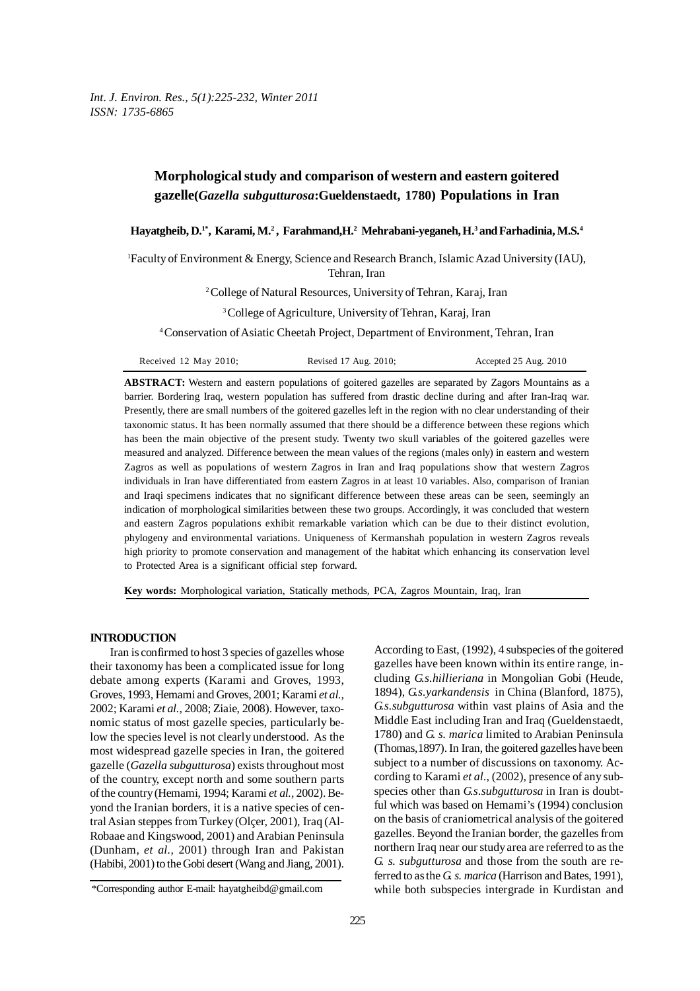# **Morphological study and comparison of western and eastern goitered gazelle(***Gazella subgutturosa***:Gueldenstaedt, 1780) Populations in Iran**

## $\bf{H}$ ayatgheib,  $\bf{D}$ .<sup>1\*</sup>,  $\bf{K}$ arami,  $\bf{M}$ .<sup>2</sup>,  $\bf{F}$ arahmand, $\bf{H}$ .<sup>2</sup>  $\bf{M}$ chrabani-yeganeh,  $\bf{H}$ .<sup>3</sup> and Farhadinia,  $\bf{M}$ . $\bf{S}$ .4

1 Faculty of Environment & Energy, Science and Research Branch, Islamic Azad University (IAU), Tehran, Iran

2 College of Natural Resources, University of Tehran, Karaj, Iran

<sup>3</sup> College of Agriculture, University of Tehran, Karaj, Iran

4 Conservation of Asiatic Cheetah Project, Department of Environment, Tehran, Iran

| Received 12 May 2010; | Revised 17 Aug. 2010; | Accepted 25 Aug. 2010 |
|-----------------------|-----------------------|-----------------------|
|-----------------------|-----------------------|-----------------------|

**ABSTRACT:** Western and eastern populations of goitered gazelles are separated by Zagors Mountains as a barrier. Bordering Iraq, western population has suffered from drastic decline during and after Iran-Iraq war. Presently, there are small numbers of the goitered gazelles left in the region with no clear understanding of their taxonomic status. It has been normally assumed that there should be a difference between these regions which has been the main objective of the present study. Twenty two skull variables of the goitered gazelles were measured and analyzed. Difference between the mean values of the regions (males only) in eastern and western Zagros as well as populations of western Zagros in Iran and Iraq populations show that western Zagros individuals in Iran have differentiated from eastern Zagros in at least 10 variables. Also, comparison of Iranian and Iraqi specimens indicates that no significant difference between these areas can be seen, seemingly an indication of morphological similarities between these two groups. Accordingly, it was concluded that western and eastern Zagros populations exhibit remarkable variation which can be due to their distinct evolution, phylogeny and environmental variations. Uniqueness of Kermanshah population in western Zagros reveals high priority to promote conservation and management of the habitat which enhancing its conservation level to Protected Area is a significant official step forward.

**Key words:** Morphological variation, Statically methods, PCA, Zagros Mountain, Iraq, Iran

#### **INTRODUCTION**

Iran is confirmed to host 3 species of gazelles whose their taxonomy has been a complicated issue for long debate among experts (Karami and Groves, 1993, Groves, 1993, Hemami and Groves, 2001; Karami *et al.,* 2002; Karami *et al.,* 2008; Ziaie, 2008). However, taxonomic status of most gazelle species, particularly below the species level is not clearly understood. As the most widespread gazelle species in Iran, the goitered gazelle (*Gazella subgutturosa*) exists throughout most of the country, except north and some southern parts of the country (Hemami, 1994; Karami *et al.,* 2002). Beyond the Iranian borders, it is a native species of central Asian steppes from Turkey (Olçer, 2001), Iraq (Al*-*Robaae and Kingswood, 2001) and Arabian Peninsula (Dunham, *et al.,* 2001) through Iran and Pakistan (Habibi, 2001) to the Gobi desert (Wang and Jiang, 2001). According to East, (1992), 4 subspecies of the goitered gazelles have been known within its entire range, including *G.s.hillieriana* in Mongolian Gobi (Heude, 1894), *G.s.yarkandensis* in China (Blanford, 1875), *G.s.subgutturosa* within vast plains of Asia and the Middle East including Iran and Iraq (Gueldenstaedt, 1780) and *G. s. marica* limited to Arabian Peninsula (Thomas,1897). In Iran, the goitered gazelles have been subject to a number of discussions on taxonomy. According to Karami *et al*., (2002), presence of any subspecies other than *G.s.subgutturosa* in Iran is doubtful which was based on Hemami's (1994) conclusion on the basis of craniometrical analysis of the goitered gazelles. Beyond the Iranian border, the gazelles from northern Iraq near our study area are referred to as the *G. s. subgutturosa* and those from the south are referred to as the *G. s. marica* (Harrison and Bates, 1991), while both subspecies intergrade in Kurdistan and

<sup>\*</sup>Corresponding author E-mail: hayatgheibd@gmail.com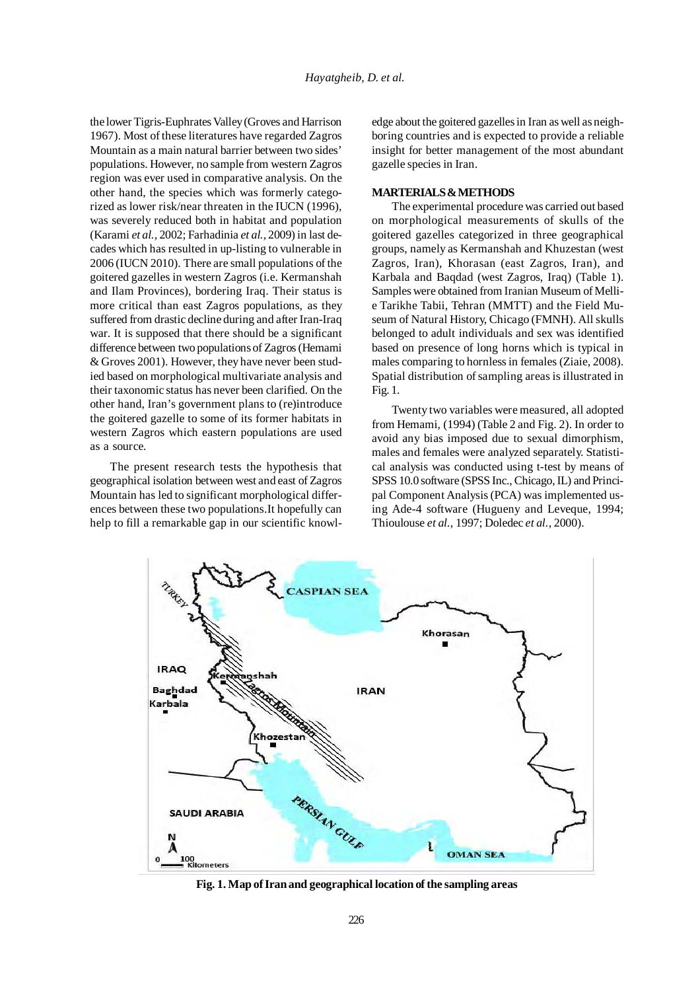the lower Tigris-Euphrates Valley (Groves and Harrison 1967). Most of these literatures have regarded Zagros Mountain as a main natural barrier between two sides' populations. However, no sample from western Zagros region was ever used in comparative analysis. On the other hand, the species which was formerly categorized as lower risk/near threaten in the IUCN (1996), was severely reduced both in habitat and population (Karami *et al.,* 2002; Farhadinia *et al.,* 2009) in last decades which has resulted in up-listing to vulnerable in 2006 (IUCN 2010). There are small populations of the goitered gazelles in western Zagros (i.e. Kermanshah and Ilam Provinces), bordering Iraq. Their status is more critical than east Zagros populations, as they suffered from drastic decline during and after Iran-Iraq war. It is supposed that there should be a significant difference between two populations of Zagros (Hemami & Groves 2001). However, they have never been studied based on morphological multivariate analysis and their taxonomic status has never been clarified. On the other hand, Iran's government plans to (re)introduce the goitered gazelle to some of its former habitats in western Zagros which eastern populations are used as a source.

The present research tests the hypothesis that geographical isolation between west and east of Zagros Mountain has led to significant morphological differences between these two populations.It hopefully can help to fill a remarkable gap in our scientific knowledge about the goitered gazelles in Iran as well as neighboring countries and is expected to provide a reliable insight for better management of the most abundant gazelle species in Iran.

# **MARTERIALS & METHODS**

The experimental procedure was carried out based on morphological measurements of skulls of the goitered gazelles categorized in three geographical groups, namely as Kermanshah and Khuzestan (west Zagros, Iran), Khorasan (east Zagros, Iran), and Karbala and Baqdad (west Zagros, Iraq) (Table 1). Samples were obtained from Iranian Museum of Mellie Tarikhe Tabii, Tehran (MMTT) and the Field Museum of Natural History, Chicago (FMNH). All skulls belonged to adult individuals and sex was identified based on presence of long horns which is typical in males comparing to hornless in females (Ziaie, 2008). Spatial distribution of sampling areas is illustrated in Fig. 1.

Twenty two variables were measured, all adopted from Hemami, (1994) (Table 2 and Fig. 2). In order to avoid any bias imposed due to sexual dimorphism, males and females were analyzed separately. Statistical analysis was conducted using t-test by means of SPSS 10.0 software (SPSS Inc., Chicago, IL) and Principal Component Analysis (PCA) was implemented using Ade-4 software (Hugueny and Leveque, 1994; Thioulouse *et al.,* 1997; Doledec *et al.,* 2000).



**Fig. 1. Map of Iran and geographical location of the sampling areas**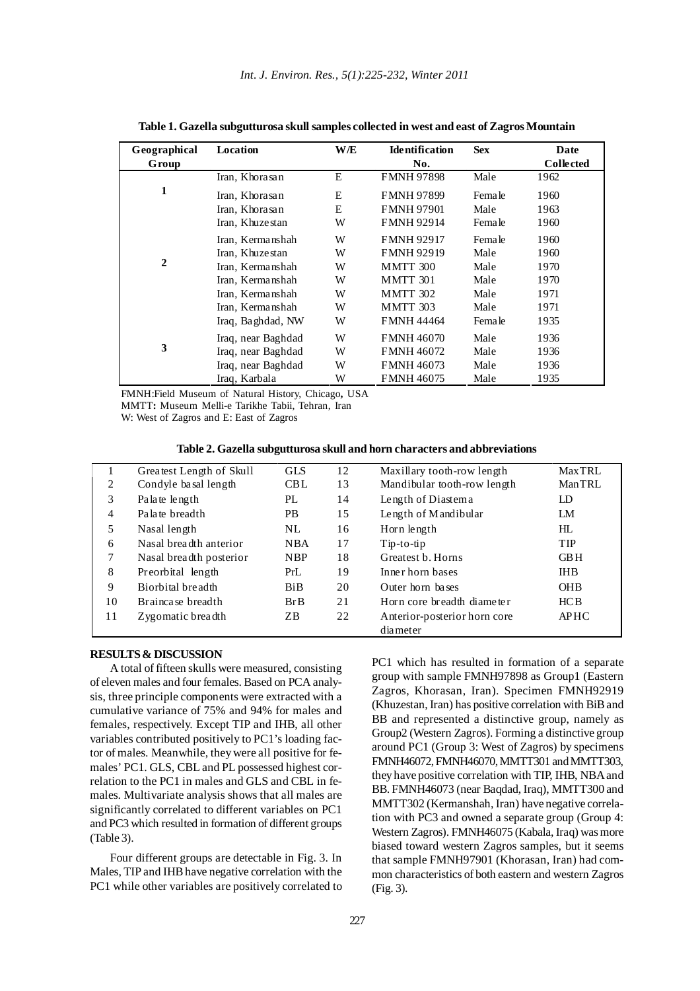| Geographical | Location           | <b>W/E</b> | <b>Identification</b> | <b>Sex</b>    | Date             |
|--------------|--------------------|------------|-----------------------|---------------|------------------|
| Group        |                    |            | No.                   |               | <b>Collected</b> |
|              | Iran, Khorasan     | E          | <b>FMNH 97898</b>     | Male          | 1962             |
| 1            | Iran, Khorasan     | E          | <b>FMNH 97899</b>     | <b>Female</b> | 1960             |
|              | Iran, Khorasan     | E          | <b>FMNH 97901</b>     | Male          | 1963             |
|              | Iran, Khuzestan    | W          | <b>FMNH 92914</b>     | Female        | 1960             |
|              | Iran, Kermanshah   | W          | <b>FMNH 92917</b>     | Female        | 1960             |
|              | Iran, Khuzestan    | W          | <b>FMNH 92919</b>     | Male          | 1960             |
| $\mathbf{2}$ | Iran, Kermanshah   | W          | <b>MMTT 300</b>       | Male          | 1970             |
|              | Iran, Kermanshah   | W          | MMTT 301              | Male          | 1970             |
|              | Iran, Kermanshah   | W          | <b>MMTT 302</b>       | Male          | 1971             |
|              | Iran, Kermanshah   | W          | <b>MMTT 303</b>       | Male          | 1971             |
|              | Iraq, Baghdad, NW  | W          | <b>FMNH 44464</b>     | Female        | 1935             |
|              | Iraq, near Baghdad | W          | <b>FMNH 46070</b>     | Male          | 1936             |
| 3            | Iraq, near Baghdad | W          | <b>FMNH 46072</b>     | Male          | 1936             |
|              | Iraq, near Baghdad | W          | <b>FMNH 46073</b>     | Male          | 1936             |
|              | Iraq, Karbala      | W          | FMNH 46075            | Male          | 1935             |

**Table 1. Gazella subgutturosa skull samples collected in west and east of Zagros Mountain**

FMNH:Field Museum of Natural History, Chicago**,** USA MMTT**:** Museum Melli-e Tarikhe Tabii, Tehran, Iran

W: West of Zagros and E: East of Zagros

**Table 2. Gazella subgutturosa skull and horn characters and abbreviations**

|    | Greatest Length of Skull | <b>GLS</b> | 12 | Maxillary tooth-row length   | <b>MaxTRL</b>  |
|----|--------------------------|------------|----|------------------------------|----------------|
| 2  | Condyle basal length     | <b>CBL</b> | 13 | Mandibular tooth-row length  | ManTRL         |
| 3  | Palate length            | PL         | 14 | Length of Diastema           | LD             |
| 4  | Palate breadth           | PB.        | 15 | Length of Mandibular         | LM             |
| 5  | Nasal length             | NL.        | 16 | Horn length                  | H <sub>L</sub> |
| 6  | Nasal breadth anterior   | <b>NBA</b> | 17 | $Tip-to-tip$                 | <b>TIP</b>     |
|    | Nasal breadth posterior  | <b>NBP</b> | 18 | Greatest b. Horns            | <b>GBH</b>     |
| 8  | Preorbital length        | PrL        | 19 | Inner horn bases             | <b>IHB</b>     |
| 9  | Biorbital breadth        | BiB        | 20 | Outer horn bases             | <b>OHB</b>     |
| 10 | Brainca se breadth       | BrB        | 21 | Horn core breadth diameter   | HCB            |
| 11 | Zygomatic breadth        | ZB.        | 22 | Anterior-posterior horn core | <b>APHC</b>    |
|    |                          |            |    | diameter                     |                |

# **RESULTS & DISCUSSION**

A total of fifteen skulls were measured, consisting of eleven males and four females. Based on PCA analysis, three principle components were extracted with a cumulative variance of 75% and 94% for males and females, respectively. Except TIP and IHB, all other variables contributed positively to PC1's loading factor of males. Meanwhile, they were all positive for females' PC1. GLS, CBL and PL possessed highest correlation to the PC1 in males and GLS and CBL in females. Multivariate analysis shows that all males are significantly correlated to different variables on PC1 and PC3 which resulted in formation of different groups (Table 3).

Four different groups are detectable in Fig. 3. In Males, TIP and IHB have negative correlation with the PC1 while other variables are positively correlated to PC1 which has resulted in formation of a separate group with sample FMNH97898 as Group1 (Eastern Zagros, Khorasan, Iran). Specimen FMNH92919 (Khuzestan, Iran) has positive correlation with BiB and BB and represented a distinctive group, namely as Group2 (Western Zagros). Forming a distinctive group around PC1 (Group 3: West of Zagros) by specimens FMNH46072, FMNH46070, MMTT301 and MMTT303, they have positive correlation with TIP, IHB, NBA and BB. FMNH46073 (near Baqdad, Iraq), MMTT300 and MMTT302 (Kermanshah, Iran) have negative correlation with PC3 and owned a separate group (Group 4: Western Zagros). FMNH46075 (Kabala, Iraq) was more biased toward western Zagros samples, but it seems that sample FMNH97901 (Khorasan, Iran) had common characteristics of both eastern and western Zagros (Fig. 3).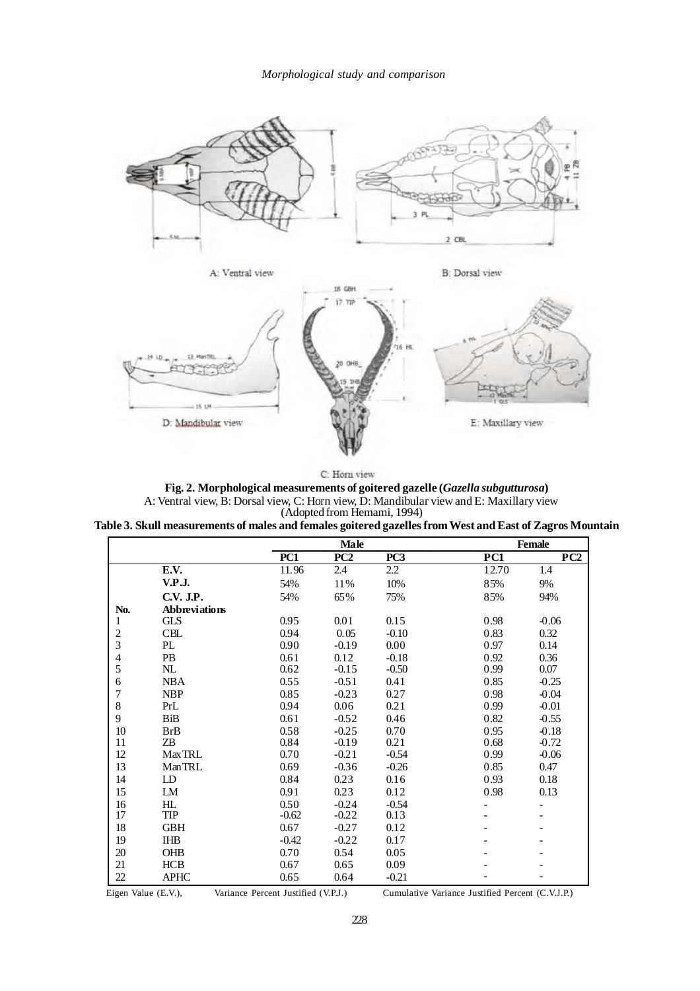

| C: Horn view |  |
|--------------|--|

**Fig. 2. Morphological measurements of goitered gazelle (***Gazella subgutturosa***)** A: Ventral view, B: Dorsal view, C: Horn view, D: Mandibular view and E: Maxillary view (Adopted from Hemami, 1994)

| Table 3. Skull measurements of males and females goitered gazelles from West and East of Zagros Mountain |  |  |  |
|----------------------------------------------------------------------------------------------------------|--|--|--|
|                                                                                                          |  |  |  |

|                |                      | Male            |         |                 | Female |         |
|----------------|----------------------|-----------------|---------|-----------------|--------|---------|
|                |                      | PC <sub>1</sub> | PC2     | PC <sub>3</sub> | PC1    | PC2     |
|                | E.V.                 | 11.96           | 2.4     | 2.2             | 12.70  | 1.4     |
|                | V.P.J.               | 54%             | 11%     | 10%             | 85%    | 9%      |
|                | C.V. J.P.            | 54%             | 65%     | 75%             | 85%    | 94%     |
| No.            | <b>Abbreviations</b> |                 |         |                 |        |         |
| 1              | <b>GLS</b>           | 0.95            | 0.01    | 0.15            | 0.98   | $-0.06$ |
|                | <b>CBL</b>           | 0.94            | 0.05    | $-0.10$         | 0.83   | 0.32    |
| $\frac{2}{3}$  | PL                   | 0.90            | $-0.19$ | 0.00            | 0.97   | 0.14    |
| $rac{4}{5}$    | <b>PB</b>            | 0.61            | 0.12    | $-0.18$         | 0.92   | 0.36    |
|                | $\mathbf{NL}$        | 0.62            | $-0.15$ | $-0.50$         | 0.99   | 0.07    |
| 6              | <b>NBA</b>           | 0.55            | $-0.51$ | 0.41            | 0.85   | $-0.25$ |
| $\overline{7}$ | <b>NBP</b>           | 0.85            | $-0.23$ | 0.27            | 0.98   | $-0.04$ |
| 8              | PrL                  | 0.94            | 0.06    | 0.21            | 0.99   | $-0.01$ |
| 9              | BiB                  | 0.61            | $-0.52$ | 0.46            | 0.82   | $-0.55$ |
| 10             | <b>BrB</b>           | 0.58            | $-0.25$ | 0.70            | 0.95   | $-0.18$ |
| 11             | ΖB                   | 0.84            | $-0.19$ | 0.21            | 0.68   | $-0.72$ |
| 12             | <b>MaxTRL</b>        | 0.70            | $-0.21$ | $-0.54$         | 0.99   | $-0.06$ |
| 13             | <b>ManTRL</b>        | 0.69            | $-0.36$ | $-0.26$         | 0.85   | 0.47    |
| 14             | LD                   | 0.84            | 0.23    | 0.16            | 0.93   | 0.18    |
| 15             | LM                   | 0.91            | 0.23    | 0.12            | 0.98   | 0.13    |
| 16             | HL                   | 0.50            | $-0.24$ | $-0.54$         |        |         |
| 17             | <b>TIP</b>           | $-0.62$         | $-0.22$ | 0.13            |        |         |
| 18             | <b>GBH</b>           | 0.67            | $-0.27$ | 0.12            |        |         |
| 19             | <b>IHB</b>           | $-0.42$         | $-0.22$ | 0.17            |        |         |
| 20             | <b>OHB</b>           | 0.70            | 0.54    | 0.05            |        |         |
| 21             | <b>HCB</b>           | 0.67            | 0.65    | 0.09            |        |         |
| $22\,$         | <b>APHC</b>          | 0.65            | 0.64    | $-0.21$         |        |         |

Eigen Value (E.V.), Variance Percent Justified (V.P.J.) Cumulative Variance Justified Percent (C.V.J.P.)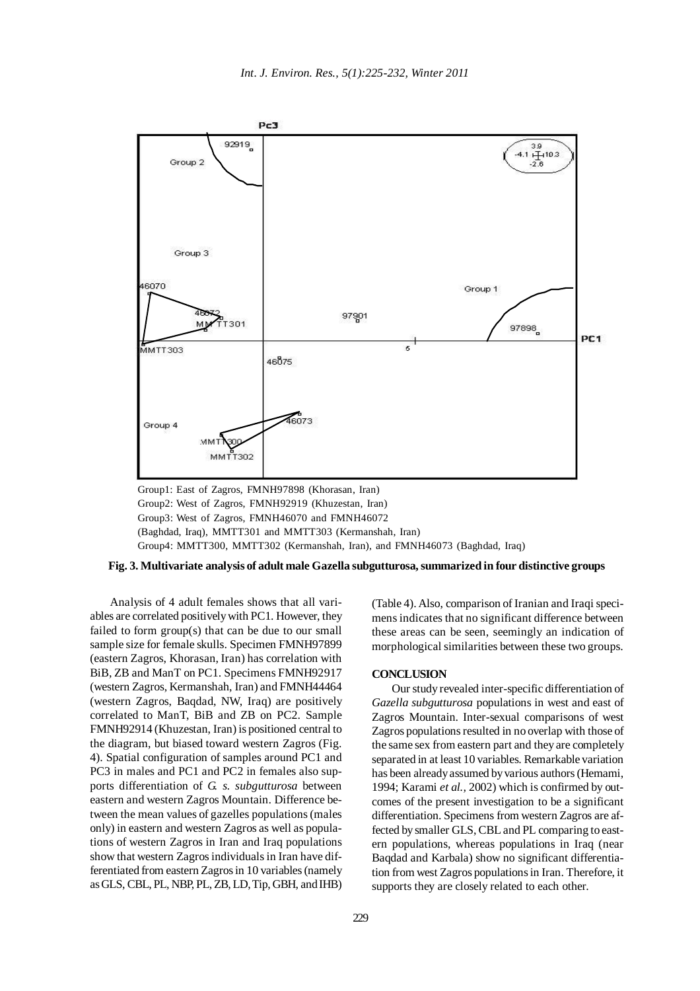

Group1: East of Zagros, FMNH97898 (Khorasan, Iran) Group2: West of Zagros, FMNH92919 (Khuzestan, Iran) Group3: West of Zagros, FMNH46070 and FMNH46072 (Baghdad, Iraq), MMTT301 and MMTT303 (Kermanshah, Iran) Group4: MMTT300, MMTT302 (Kermanshah, Iran), and FMNH46073 (Baghdad, Iraq)

#### **Fig. 3. Multivariate analysis of adult male Gazella subgutturosa, summarized in four distinctive groups**

Analysis of 4 adult females shows that all variables are correlated positively with PC1. However, they failed to form group(s) that can be due to our small sample size for female skulls. Specimen FMNH97899 (eastern Zagros, Khorasan, Iran) has correlation with BiB, ZB and ManT on PC1. Specimens FMNH92917 (western Zagros, Kermanshah, Iran) and FMNH44464 (western Zagros, Baqdad, NW, Iraq) are positively correlated to ManT, BiB and ZB on PC2. Sample FMNH92914 (Khuzestan, Iran) is positioned central to the diagram, but biased toward western Zagros (Fig. 4). Spatial configuration of samples around PC1 and PC3 in males and PC1 and PC2 in females also supports differentiation of *G. s. subgutturosa* between eastern and western Zagros Mountain. Difference between the mean values of gazelles populations (males only) in eastern and western Zagros as well as populations of western Zagros in Iran and Iraq populations show that western Zagros individuals in Iran have differentiated from eastern Zagros in 10 variables (namely as GLS, CBL, PL, NBP, PL, ZB, LD, Tip, GBH, and IHB)

(Table 4). Also, comparison of Iranian and Iraqi specimens indicates that no significant difference between these areas can be seen, seemingly an indication of morphological similarities between these two groups.

## **CONCLUSION**

Our study revealed inter-specific differentiation of *Gazella subgutturosa* populations in west and east of Zagros Mountain. Inter-sexual comparisons of west Zagros populations resulted in no overlap with those of the same sex from eastern part and they are completely separated in at least 10 variables. Remarkable variation has been already assumed by various authors (Hemami, 1994; Karami *et al.,* 2002) which is confirmed by outcomes of the present investigation to be a significant differentiation. Specimens from western Zagros are affected by smaller GLS, CBL and PL comparing to eastern populations, whereas populations in Iraq (near Baqdad and Karbala) show no significant differentiation from west Zagros populations in Iran. Therefore, it supports they are closely related to each other.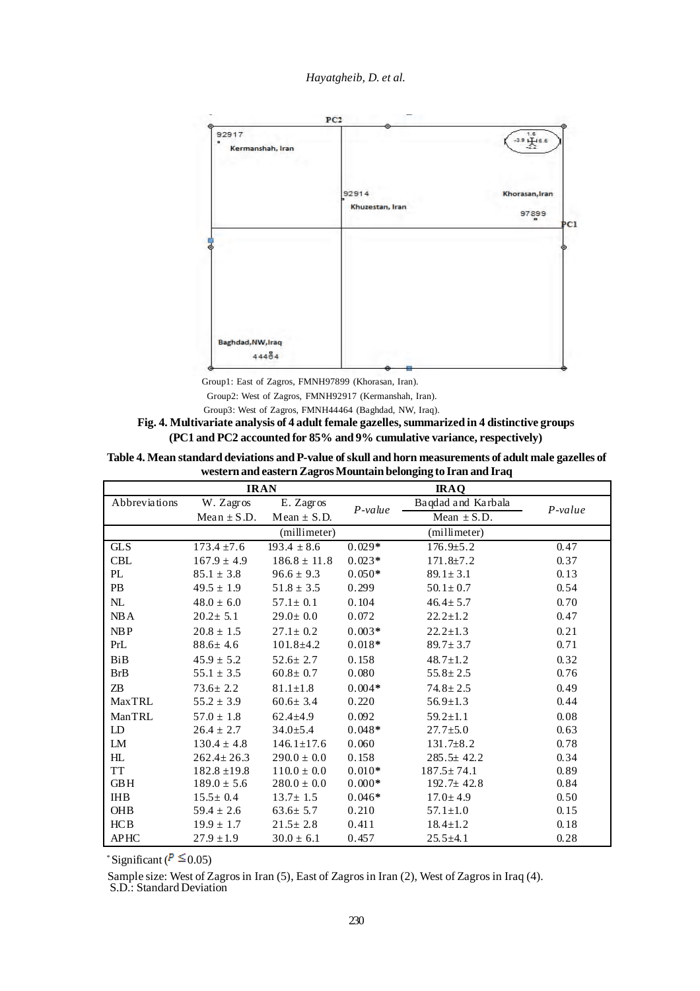*Hayatgheib, D. et al.*



Group1: East of Zagros, FMNH97899 (Khorasan, Iran).

Group2: West of Zagros, FMNH92917 (Kermanshah, Iran).

Group3: West of Zagros, FMNH44464 (Baghdad, NW, Iraq).

**Fig. 4. Multivariate analysis of 4 adult female gazelles, summarized in 4 distinctive groups (PC1 and PC2 accounted for 85% and 9% cumulative variance, respectively)**

| Table 4. Mean standard deviations and P-value of skull and horn measurements of adult male gazelles of |
|--------------------------------------------------------------------------------------------------------|
| western and eastern Zagros Mountain belonging to Iran and Iraq                                         |

| <b>IRAN</b><br><b>IRAQ</b> |                  |                  |           |                    |           |
|----------------------------|------------------|------------------|-----------|--------------------|-----------|
| Abbreviations              | W. Zagros        | E. Zagros        | $P-value$ | Baqdad and Karbala | $P-value$ |
|                            | Mean $\pm$ S.D.  | $Mean \pm S.D.$  |           | Mean $\pm$ S.D.    |           |
|                            |                  | (millimeter)     |           | (millimeter)       |           |
| <b>GLS</b>                 | $173.4 \pm 7.6$  | $193.4 \pm 8.6$  | $0.029*$  | $176.9 \pm 5.2$    | 0.47      |
| <b>CBL</b>                 | $167.9 \pm 4.9$  | $186.8 \pm 11.8$ | $0.023*$  | $171.8 \pm 7.2$    | 0.37      |
| PL                         | $85.1 \pm 3.8$   | $96.6 \pm 9.3$   | $0.050*$  | $89.1 \pm 3.1$     | 0.13      |
| PB                         | $49.5 \pm 1.9$   | $51.8 \pm 3.5$   | 0.299     | $50.1 \pm 0.7$     | 0.54      |
| NL                         | $48.0 \pm 6.0$   | $57.1 \pm 0.1$   | 0.104     | $46.4 \pm 5.7$     | 0.70      |
| NB A                       | $20.2 \pm 5.1$   | $29.0 \pm 0.0$   | 0.072     | $22.2 \pm 1.2$     | 0.47      |
| NBP                        | $20.8 \pm 1.5$   | $27.1 \pm 0.2$   | $0.003*$  | $22.2 \pm 1.3$     | 0.21      |
| PrL                        | $88.6 \pm 4.6$   | $101.8 \pm 4.2$  | $0.018*$  | $89.7 \pm 3.7$     | 0.71      |
| BiB                        | $45.9 \pm 5.2$   | $52.6 \pm 2.7$   | 0.158     | $48.7 \pm 1.2$     | 0.32      |
| <b>BrB</b>                 | $55.1 \pm 3.5$   | $60.8 \pm 0.7$   | 0.080     | $55.8 \pm 2.5$     | 0.76      |
| ZB                         | $73.6 \pm 2.2$   | $81.1 \pm 1.8$   | $0.004*$  | $74.8 \pm 2.5$     | 0.49      |
| MaxTRL                     | $55.2 \pm 3.9$   | $60.6 \pm 3.4$   | 0.220     | $56.9 \pm 1.3$     | 0.44      |
| <b>ManTRL</b>              | $57.0 \pm 1.8$   | $62.4 \pm 4.9$   | 0.092     | $59.2 \pm 1.1$     | 0.08      |
| LD                         | $26.4 \pm 2.7$   | $34.0 \pm 5.4$   | $0.048*$  | $27.7 \pm 5.0$     | 0.63      |
| LM                         | $130.4 \pm 4.8$  | $146.1 \pm 17.6$ | 0.060     | $131.7\pm8.2$      | 0.78      |
| HL                         | $262.4 \pm 26.3$ | $290.0 \pm 0.0$  | 0.158     | $285.5 \pm 42.2$   | 0.34      |
| TT                         | $182.8 \pm 19.8$ | $110.0 \pm 0.0$  | $0.010*$  | $187.5 \pm 74.1$   | 0.89      |
| <b>GBH</b>                 | $189.0 \pm 5.6$  | $280.0 \pm 0.0$  | $0.000*$  | $192.7 \pm 42.8$   | 0.84      |
| <b>IHB</b>                 | $15.5 \pm 0.4$   | $13.7 \pm 1.5$   | $0.046*$  | $17.0 \pm 4.9$     | 0.50      |
| OHB                        | $59.4 \pm 2.6$   | $63.6 \pm 5.7$   | 0.210     | $57.1 \pm 1.0$     | 0.15      |
| HCB                        | $19.9 \pm 1.7$   | $21.5 \pm 2.8$   | 0.411     | $18.4 \pm 1.2$     | 0.18      |
| <b>APHC</b>                | $27.9 \pm 1.9$   | $30.0 \pm 6.1$   | 0.457     | $25.5 \pm 4.1$     | 0.28      |

\* Significant ( $P \le 0.05$ )

Sample size: West of Zagros in Iran (5), East of Zagros in Iran (2), West of Zagros in Iraq (4).

S.D.: Standard Deviation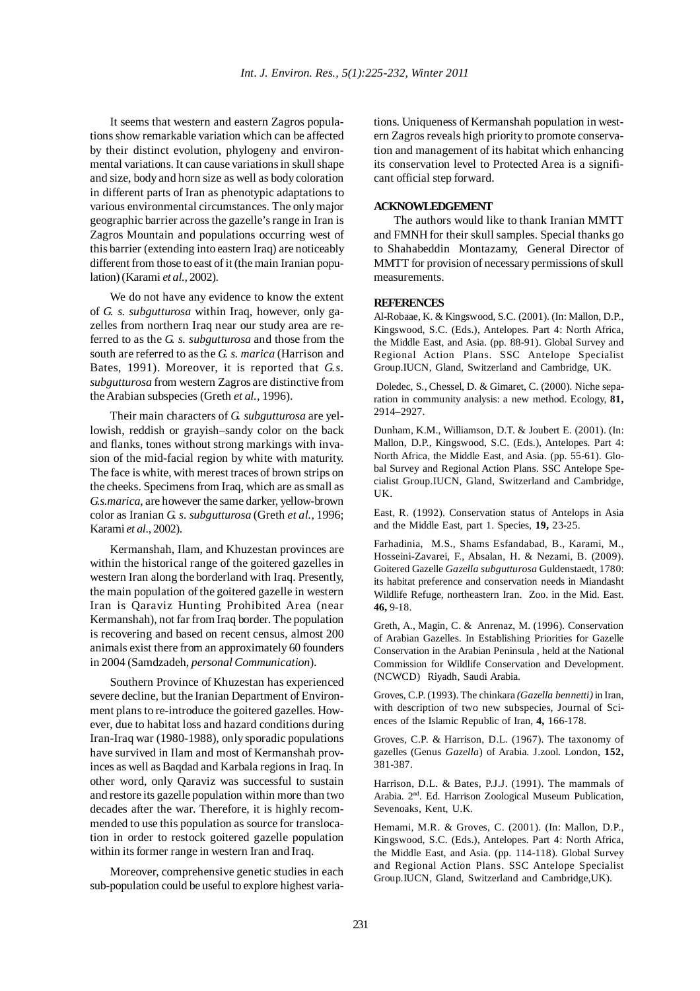It seems that western and eastern Zagros populations show remarkable variation which can be affected by their distinct evolution, phylogeny and environmental variations. It can cause variations in skull shape and size, body and horn size as well as body coloration in different parts of Iran as phenotypic adaptations to various environmental circumstances. The only major geographic barrier across the gazelle's range in Iran is Zagros Mountain and populations occurring west of this barrier (extending into eastern Iraq) are noticeably different from those to east of it (the main Iranian population) (Karami *et al.,* 2002).

We do not have any evidence to know the extent of *G. s. subgutturosa* within Iraq, however, only gazelles from northern Iraq near our study area are referred to as the *G. s. subgutturosa* and those from the south are referred to as the *G. s. marica* (Harrison and Bates, 1991). Moreover, it is reported that *G.s. subgutturosa* from western Zagros are distinctive from the Arabian subspecies (Greth *et al.,* 1996).

Their main characters of *G. subgutturosa* are yellowish, reddish or grayish–sandy color on the back and flanks, tones without strong markings with invasion of the mid-facial region by white with maturity. The face is white, with merest traces of brown strips on the cheeks. Specimens from Iraq, which are as small as *G.s.marica*, are however the same darker, yellow-brown color as Iranian *G. s. subgutturosa* (Greth *et al.,* 1996; Karami *et al*., 2002).

Kermanshah, Ilam, and Khuzestan provinces are within the historical range of the goitered gazelles in western Iran along the borderland with Iraq. Presently, the main population of the goitered gazelle in western Iran is Qaraviz Hunting Prohibited Area (near Kermanshah), not far from Iraq border. The population is recovering and based on recent census, almost 200 animals exist there from an approximately 60 founders in 2004 (Samdzadeh, *personal Communication*).

Southern Province of Khuzestan has experienced severe decline, but the Iranian Department of Environment plans to re-introduce the goitered gazelles. However, due to habitat loss and hazard conditions during Iran-Iraq war (1980-1988), only sporadic populations have survived in Ilam and most of Kermanshah provinces as well as Baqdad and Karbala regions in Iraq. In other word, only Qaraviz was successful to sustain and restore its gazelle population within more than two decades after the war. Therefore, it is highly recommended to use this population as source for translocation in order to restock goitered gazelle population within its former range in western Iran and Iraq.

Moreover, comprehensive genetic studies in each sub-population could be useful to explore highest variations. Uniqueness of Kermanshah population in western Zagros reveals high priority to promote conservation and management of its habitat which enhancing its conservation level to Protected Area is a significant official step forward.

# **ACKNOWLEDGEMENT**

The authors would like to thank Iranian MMTT and FMNH for their skull samples. Special thanks go to Shahabeddin Montazamy, General Director of MMTT for provision of necessary permissions of skull measurements.

#### **REFERENCES**

Al-Robaae, K. & Kingswood, S.C. (2001). (In: Mallon, D.P., Kingswood, S.C. (Eds.), Antelopes. Part 4: North Africa, the Middle East, and Asia. (pp. 88-91). Global Survey and Regional Action Plans. SSC Antelope Specialist Group.IUCN, Gland, Switzerland and Cambridge, UK.

 Doledec, S., Chessel, D. & Gimaret, C. (2000). Niche separation in community analysis: a new method. Ecology, **81,** 2914–2927.

Dunham, K.M., Williamson, D.T. & Joubert E. (2001). (In: Mallon, D.P., Kingswood, S.C. (Eds.), Antelopes. Part 4: North Africa, the Middle East, and Asia. (pp. 55-61). Global Survey and Regional Action Plans. SSC Antelope Specialist Group.IUCN, Gland, Switzerland and Cambridge, UK.

East, R. (1992). Conservation status of Antelops in Asia and the Middle East, part 1. Species, **19,** 23-25.

Farhadinia, M.S., Shams Esfandabad, B., Karami, M., Hosseini-Zavarei, F., Absalan, H. & Nezami, B. (2009). Goitered Gazelle *Gazella subgutturosa* Guldenstaedt, 1780: its habitat preference and conservation needs in Miandasht Wildlife Refuge, northeastern Iran. Zoo. in the Mid. East. **46,** 9-18.

Greth, A., Magin, C. & Anrenaz, M. (1996). Conservation of Arabian Gazelles. In Establishing Priorities for Gazelle Conservation in the Arabian Peninsula , held at the National Commission for Wildlife Conservation and Development. (NCWCD) Riyadh, Saudi Arabia.

Groves, C.P. (1993). The chinkara *(Gazella bennetti)* in Iran, with description of two new subspecies, Journal of Sciences of the Islamic Republic of Iran, **4,** 166-178.

Groves, C.P. & Harrison, D.L. (1967). The taxonomy of gazelles (Genus *Gazella*) of Arabia. J.zool. London, **152,** 381-387.

Harrison, D.L. & Bates, P.J.J. (1991). The mammals of Arabia. 2<sup>nd</sup>. Ed. Harrison Zoological Museum Publication, Sevenoaks, Kent, U.K.

Hemami, M.R. & Groves, C. (2001). (In: Mallon, D.P., Kingswood, S.C. (Eds.), Antelopes. Part 4: North Africa, the Middle East, and Asia. (pp. 114-118). Global Survey and Regional Action Plans. SSC Antelope Specialist Group.IUCN, Gland, Switzerland and Cambridge,UK).